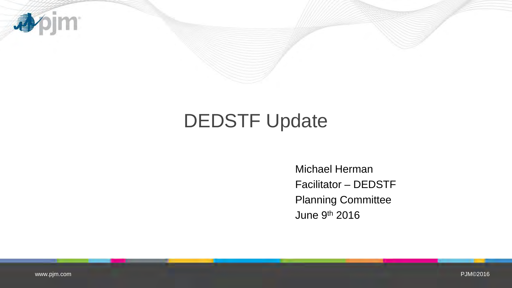

# DEDSTF Update

Michael Herman Facilitator – DEDSTF Planning Committee June 9th 2016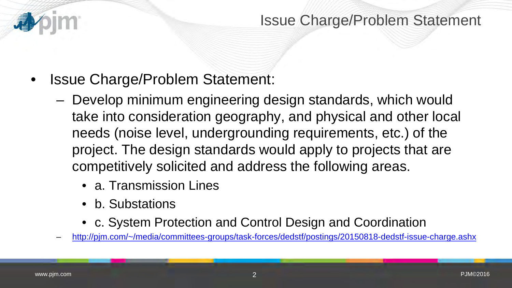

### Issue Charge/Problem Statement

- Issue Charge/Problem Statement:
	- Develop minimum engineering design standards, which would take into consideration geography, and physical and other local needs (noise level, undergrounding requirements, etc.) of the project. The design standards would apply to projects that are competitively solicited and address the following areas.
		- a. Transmission Lines
		- b. Substations
		- c. System Protection and Control Design and Coordination
	- [http://pjm.com/~/media/committees-groups/task-forces/dedstf/postings/20150818-dedstf-issue-charge.ashx](http://pjm.com/%7E/media/committees-groups/task-forces/dedstf/postings/20150818-dedstf-issue-charge.ashx)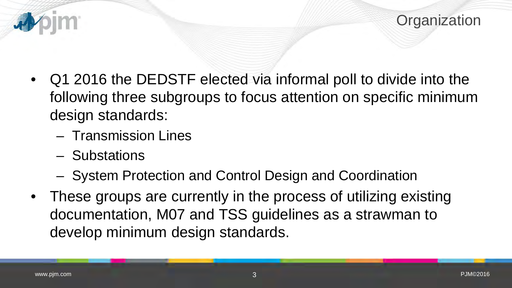

- Q1 2016 the DEDSTF elected via informal poll to divide into the following three subgroups to focus attention on specific minimum design standards:
	- Transmission Lines
	- Substations
	- System Protection and Control Design and Coordination
- These groups are currently in the process of utilizing existing documentation, M07 and TSS guidelines as a strawman to develop minimum design standards.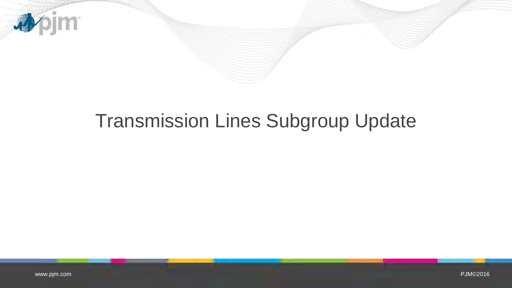

# Transmission Lines Subgroup Update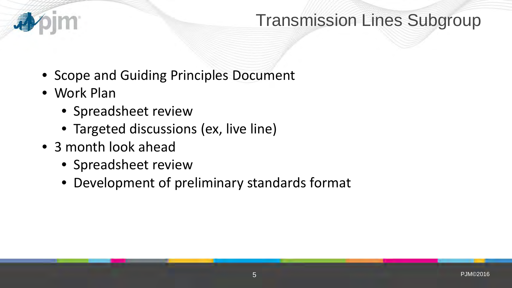

# Transmission Lines Subgroup

- Scope and Guiding Principles Document
- Work Plan
	- Spreadsheet review
	- Targeted discussions (ex, live line)
- 3 month look ahead
	- Spreadsheet review
	- Development of preliminary standards format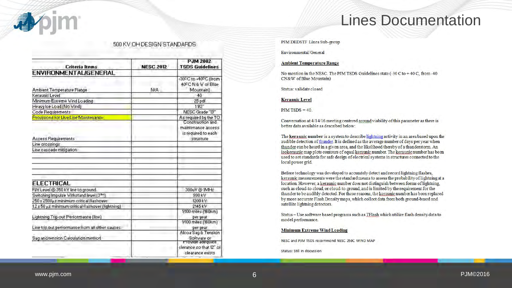

### Lines Documentation

#### 500 KV OH DESIGN STANDARDS

| Criteria Items                                       | <b>NESC 2012</b> | <b>PJM 2002</b><br><b>TSDS Guidelines</b> |
|------------------------------------------------------|------------------|-------------------------------------------|
| <b>ENVIRONMENTALIGENERAL</b>                         |                  |                                           |
|                                                      |                  |                                           |
|                                                      |                  | -30°C to +40°C (from                      |
|                                                      |                  | 40°C N & W of Blue                        |
| Ambient Temperature Range                            | NIA.             | Mountain]                                 |
| Keraunic Level                                       |                  | 40                                        |
| Minimum Extreme Wind Loading                         |                  | 25 pdf                                    |
| Heavy Ice Load (No Wind)                             |                  | 11/2"                                     |
| Code Requirements                                    |                  | NESC Grade "B"                            |
| Provisions for Live Line Maintenance                 |                  | As required by the TO<br>Construction and |
|                                                      |                  |                                           |
|                                                      |                  | maintenance access                        |
|                                                      |                  | is required to each                       |
| <b>Access Requirements</b>                           |                  | structure                                 |
| Line crossings                                       |                  |                                           |
| Line cascade mitigation                              |                  |                                           |
|                                                      |                  |                                           |
|                                                      |                  |                                           |
|                                                      |                  |                                           |
|                                                      |                  |                                           |
|                                                      |                  |                                           |
| <b>ELECTRICAL</b>                                    |                  |                                           |
| FIV Level @ 350 kV line to ground.                   |                  | 300uV @ IMHz                              |
| Switching Impulse Withstand level [3 <sup>mm</sup> ] |                  | 990 kV                                    |
| 250 x 2500ps minimum critical flashover              |                  | 1200 kV                                   |
| 1.2 x 50 µs minimum critical flashover (lightning)   |                  | 2145 kV                                   |
|                                                      |                  | 1/100 miles (160km)                       |
| Lightning Trip out Performance (line)                |                  | per year.                                 |
|                                                      |                  | 1/100 miles (160km)                       |
| Line trip out performance from all other causes.     |                  | per year                                  |
|                                                      |                  | Alcoa Sag & Tension                       |
| Sag and tension Calculation method                   |                  | Software or                               |
|                                                      |                  | Provide adequate                          |
|                                                      |                  | clerance so that 12" of                   |
|                                                      |                  | clearance exists                          |

PJM DEDSTF Lines Sub-group

Environmental/General

#### **Ambient Temperature Range**

No mention in the NESC. The PJM TSDS Guidelines state (-30 C to +40 C, from -40 CN&W of Blue Mountain)

Status: validate closed

#### **Keranuic Level**

 $PJM$  TSDS = 40.

Conversation at 4/14/16 meeting centered around viability of this parameter as there is better data available as described below:

The keraunic number is a system to describe lightning activity in an area based upon the audible detection of thunder. It is defined as the average number of days per year when thunder can be heard in a given area, and the likelihood thereby of a thunderstorm. An isokeraunic map plots contours of equal keraunic number. The keraunic number has been used to set standards for safe design of electrical systems in structures connected to the local power grid.

Before technology was developed to accurately detect and record lightning flashes, keraunic measurements were the standard means to assess the probability of lightning at a location. However, a keraunic number does not distinguish between forms of lightning, such as cloud-to-cloud, or cloud-to-ground, and is limited by the requirement for the thunder to be audibly detected. For these reasons, the keraunic number has been replaced by more accurate Flash Density maps, which collect data from both ground-based and satellite lightning detectors.

Status - Use software based programs such as TFlash which utilize flash density data to model performance.

#### **Minimum Extreme Wind Loading**

NESC and PJM TSDS recommend NESC 250C WIND MAP

Status: Still in discussion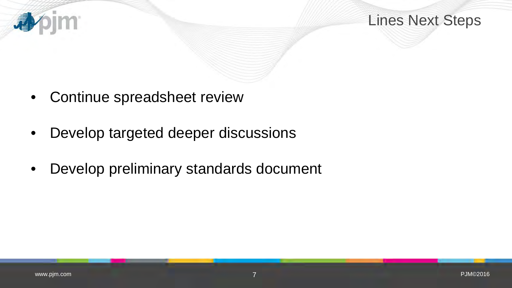

Lines Next Steps

- Continue spreadsheet review
- Develop targeted deeper discussions
- Develop preliminary standards document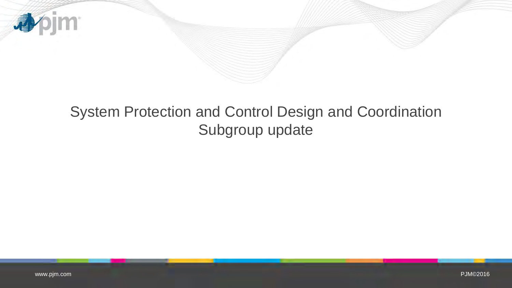

## System Protection and Control Design and Coordination Subgroup update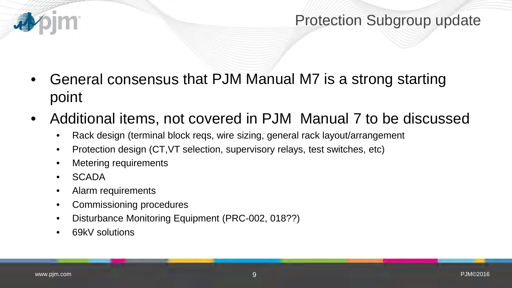## Protection Subgroup update

- General consensus that PJM Manual M7 is a strong starting point
- Additional items, not covered in PJM Manual 7 to be discussed
	- Rack design (terminal block reqs, wire sizing, general rack layout/arrangement
	- Protection design (CT, VT selection, supervisory relays, test switches, etc)
	- Metering requirements
	- SCADA
	- Alarm requirements
	- Commissioning procedures
	- Disturbance Monitoring Equipment (PRC-002, 018??)
	- 69kV solutions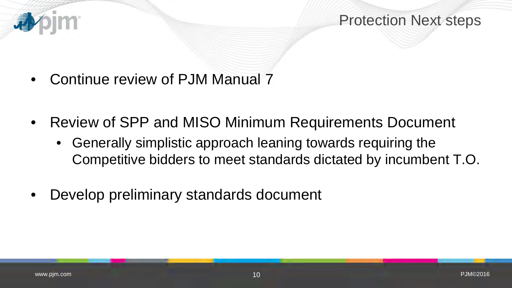

- Continue review of PJM Manual 7
- Review of SPP and MISO Minimum Requirements Document
	- Generally simplistic approach leaning towards requiring the Competitive bidders to meet standards dictated by incumbent T.O.
- Develop preliminary standards document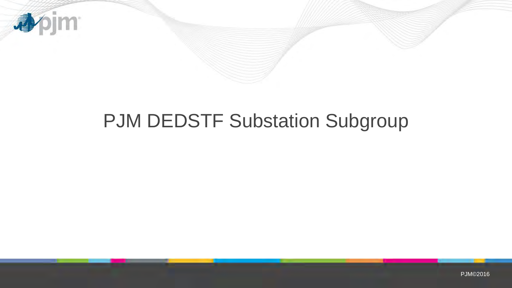

# PJM DEDSTF Substation Subgroup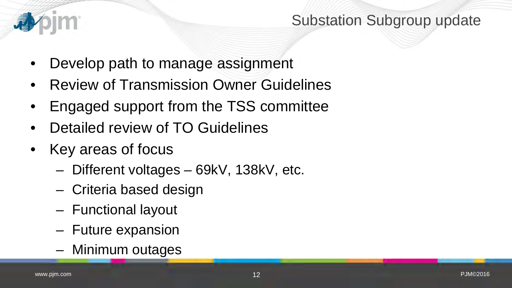

## Substation Subgroup update

- Develop path to manage assignment
- Review of Transmission Owner Guidelines
- Engaged support from the TSS committee
- Detailed review of TO Guidelines
- Key areas of focus
	- Different voltages 69kV, 138kV, etc.
	- Criteria based design
	- Functional layout
	- Future expansion
	- Minimum outages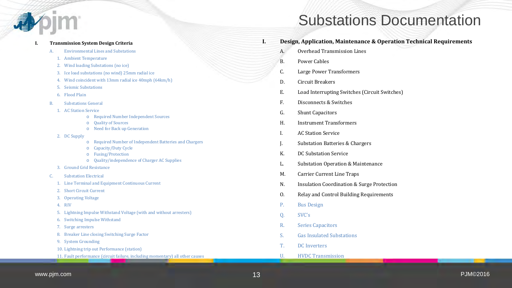

#### **I. Transmission System Design Criteria**

- A. Environmental Lines and Substations
	- 1. Ambient Temperature
	- 2. Wind loading Substations (no ice)
	- 3. Ice load substations (no wind) 25mm radial ice
	- 4. Wind coincident with 13mm radial ice 40mph (64km/h)
	- 5. Seismic Substations
	- 6. Flood Plain
- B. Substations General
	- 1. AC Station Service
		- o Required Number Independent Sources
		- o Quality of Sources
		- o Need for Back up Generation
	- 2. DC Supply
		- o Required Number of Independent Batteries and Chargers
		- o Capacity/Duty Cycle
		- o Fusing/Protection
		- o Quality/independence of Charger AC Supplies
	- 3. Ground Grid Resistance
- C. Substation Electrical
	- 1. Line Terminal and Equipment Continuous Current
	- 2. Short Circuit Current
	- 3. Operating Voltage
	- 4. RIV
	- 5. Lightning Impulse Withstand Voltage (with and without arresters)
	- 6. Switching Impulse Withstand
	- 7. Surge arresters
	- 8. Breaker Line closing Switching Surge Factor
	- 9. System Grounding
	- 10. Lightning trip out Performance (station)
	- 11. Fault performance (circuit failure, including momentary) all other causes

## Substations Documentation

- **I. Design, Application, Maintenance & Operation Technical Requirements** 
	- A. Overhead Transmission Lines
	- B. Power Cables
	- C. Large Power Transformers
	- D. Circuit Breakers
	- E. Load Interrupting Switches (Circuit Switches)
	- F. Disconnects & Switches
	- G. Shunt Capacitors
	- H. Instrument Transformers
	- I. AC Station Service
	- J. Substation Batteries & Chargers
	- K. DC Substation Service
	- L. Substation Operation & Maintenance
	- M. Carrier Current Line Traps
	- N. Insulation Coordination & Surge Protection
	- O. Relay and Control Building Requirements
	- P. Bus Design
	- Q. SVC's
	- R. Series Capacitors
	- S. Gas Insulated Substations
	- T. DC Inverters
	- U. HVDC Transmission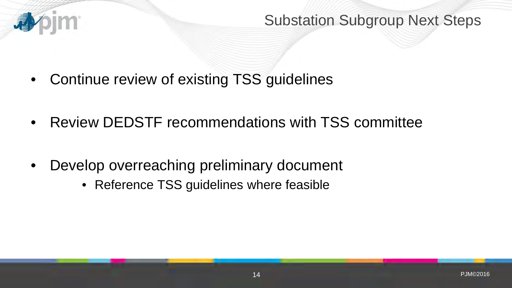

Substation Subgroup Next Steps

- Continue review of existing TSS guidelines
- Review DEDSTF recommendations with TSS committee
- Develop overreaching preliminary document
	- Reference TSS guidelines where feasible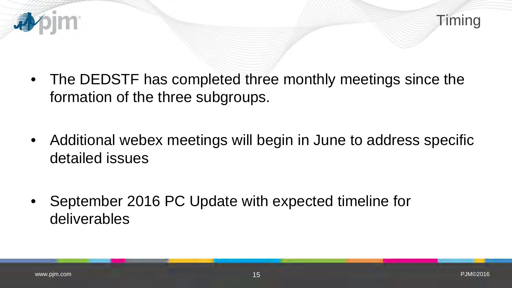

- The DEDSTF has completed three monthly meetings since the formation of the three subgroups.
- Additional webex meetings will begin in June to address specific detailed issues
- September 2016 PC Update with expected timeline for deliverables